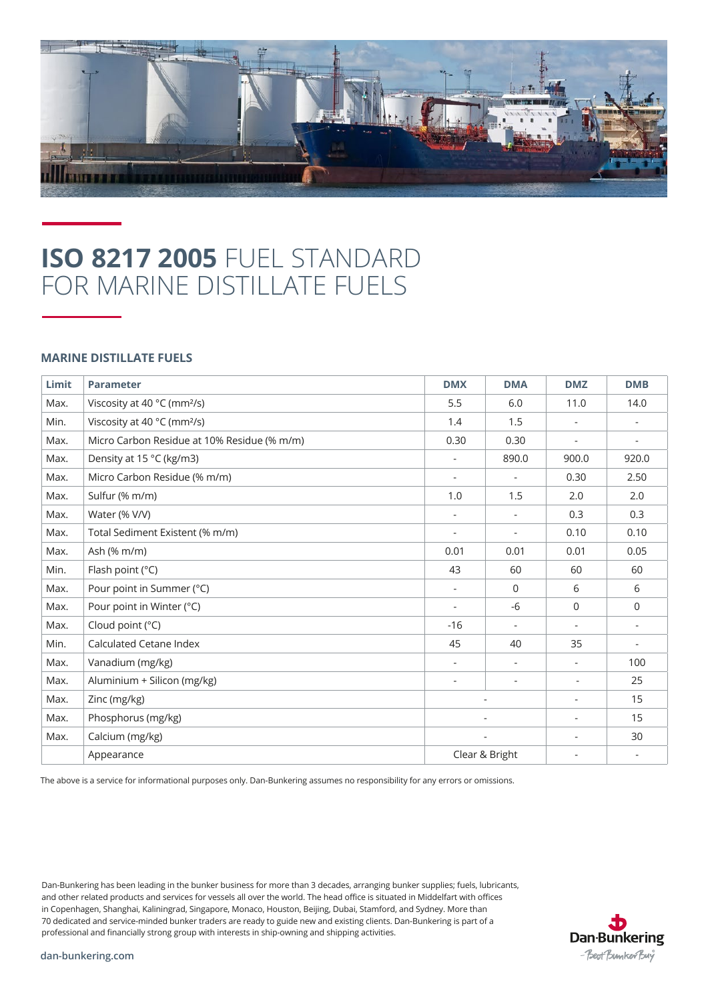

## **ISO 8217 2005** FUEL STANDARD FOR MARINE DISTILLATE FUELS

## **MARINE DISTILLATE FUELS**

| Limit | <b>Parameter</b>                            | <b>DMX</b>               | <b>DMA</b>               | <b>DMZ</b>               | <b>DMB</b>               |
|-------|---------------------------------------------|--------------------------|--------------------------|--------------------------|--------------------------|
| Max.  | Viscosity at 40 °C (mm <sup>2</sup> /s)     | 5.5                      | 6.0                      | 11.0                     | 14.0                     |
| Min.  | Viscosity at 40 °C (mm <sup>2</sup> /s)     | 1.4                      | 1.5                      |                          |                          |
| Max.  | Micro Carbon Residue at 10% Residue (% m/m) | 0.30                     | 0.30                     | $\overline{\phantom{a}}$ | $\overline{\phantom{a}}$ |
| Max.  | Density at 15 °C (kg/m3)                    | $\overline{\phantom{m}}$ | 890.0                    | 900.0                    | 920.0                    |
| Max.  | Micro Carbon Residue (% m/m)                | $\overline{\phantom{m}}$ | ÷,                       | 0.30                     | 2.50                     |
| Max.  | Sulfur (% m/m)                              | 1.0                      | 1.5                      | 2.0                      | 2.0                      |
| Max.  | Water (% V/V)                               |                          | $\overline{\phantom{0}}$ | 0.3                      | 0.3                      |
| Max.  | Total Sediment Existent (% m/m)             | $\overline{\phantom{a}}$ | $\overline{\phantom{a}}$ | 0.10                     | 0.10                     |
| Max.  | Ash (% m/m)                                 | 0.01                     | 0.01                     | 0.01                     | 0.05                     |
| Min.  | Flash point (°C)                            | 43                       | 60                       | 60                       | 60                       |
| Max.  | Pour point in Summer (°C)                   | $\overline{\phantom{a}}$ | $\Omega$                 | 6                        | 6                        |
| Max.  | Pour point in Winter (°C)                   | $\overline{\phantom{a}}$ | $-6$                     | $\mathbf 0$              | $\mathbf 0$              |
| Max.  | Cloud point (°C)                            | $-16$                    | $\overline{\phantom{0}}$ |                          | $\overline{\phantom{a}}$ |
| Min.  | Calculated Cetane Index                     | 45                       | 40                       | 35                       | ٠                        |
| Max.  | Vanadium (mg/kg)                            | $\overline{\phantom{a}}$ | ۰                        |                          | 100                      |
| Max.  | Aluminium + Silicon (mg/kg)                 | ÷                        | $\overline{\phantom{a}}$ | $\sim$                   | 25                       |
| Max.  | Zinc (mg/kg)                                | $\overline{\phantom{a}}$ |                          | $\overline{\phantom{0}}$ | 15                       |
| Max.  | Phosphorus (mg/kg)                          | $\overline{\phantom{a}}$ |                          |                          | 15                       |
| Max.  | Calcium (mg/kg)                             |                          |                          |                          | 30                       |
|       | Appearance                                  |                          | Clear & Bright           |                          |                          |

The above is a service for informational purposes only. Dan-Bunkering assumes no responsibility for any errors or omissions.

Dan-Bunkering has been leading in the bunker business for more than 3 decades, arranging bunker supplies; fuels, lubricants, and other related products and services for vessels all over the world. The head office is situated in Middelfart with offices in Copenhagen, Shanghai, Kaliningrad, Singapore, Monaco, Houston, Beijing, Dubai, Stamford, and Sydney. More than 70 dedicated and service-minded bunker traders are ready to guide new and existing clients. Dan-Bunkering is part of a professional and financially strong group with interests in ship-owning and shipping activities.